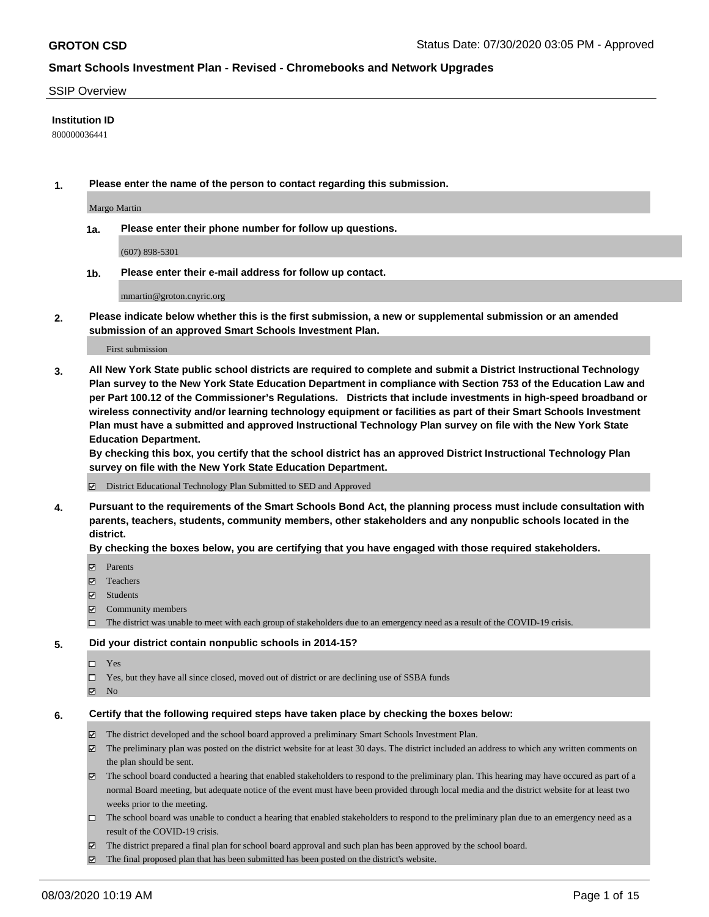#### SSIP Overview

### **Institution ID**

800000036441

**1. Please enter the name of the person to contact regarding this submission.**

Margo Martin

**1a. Please enter their phone number for follow up questions.**

(607) 898-5301

**1b. Please enter their e-mail address for follow up contact.**

mmartin@groton.cnyric.org

**2. Please indicate below whether this is the first submission, a new or supplemental submission or an amended submission of an approved Smart Schools Investment Plan.**

#### First submission

**3. All New York State public school districts are required to complete and submit a District Instructional Technology Plan survey to the New York State Education Department in compliance with Section 753 of the Education Law and per Part 100.12 of the Commissioner's Regulations. Districts that include investments in high-speed broadband or wireless connectivity and/or learning technology equipment or facilities as part of their Smart Schools Investment Plan must have a submitted and approved Instructional Technology Plan survey on file with the New York State Education Department.** 

**By checking this box, you certify that the school district has an approved District Instructional Technology Plan survey on file with the New York State Education Department.**

District Educational Technology Plan Submitted to SED and Approved

**4. Pursuant to the requirements of the Smart Schools Bond Act, the planning process must include consultation with parents, teachers, students, community members, other stakeholders and any nonpublic schools located in the district.** 

#### **By checking the boxes below, you are certifying that you have engaged with those required stakeholders.**

- **Parents**
- Teachers
- Students
- $\boxtimes$  Community members
- The district was unable to meet with each group of stakeholders due to an emergency need as a result of the COVID-19 crisis.

#### **5. Did your district contain nonpublic schools in 2014-15?**

- $\neg$  Yes
- Yes, but they have all since closed, moved out of district or are declining use of SSBA funds
- **Z** No

#### **6. Certify that the following required steps have taken place by checking the boxes below:**

- The district developed and the school board approved a preliminary Smart Schools Investment Plan.
- $\boxtimes$  The preliminary plan was posted on the district website for at least 30 days. The district included an address to which any written comments on the plan should be sent.
- $\boxtimes$  The school board conducted a hearing that enabled stakeholders to respond to the preliminary plan. This hearing may have occured as part of a normal Board meeting, but adequate notice of the event must have been provided through local media and the district website for at least two weeks prior to the meeting.
- The school board was unable to conduct a hearing that enabled stakeholders to respond to the preliminary plan due to an emergency need as a result of the COVID-19 crisis.
- The district prepared a final plan for school board approval and such plan has been approved by the school board.
- $\boxtimes$  The final proposed plan that has been submitted has been posted on the district's website.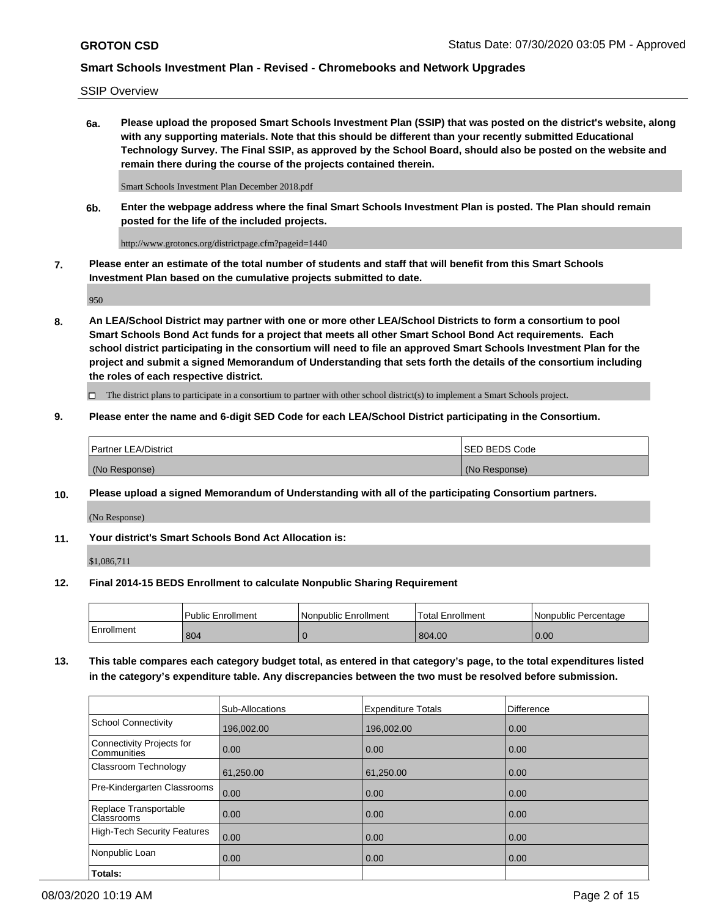SSIP Overview

**6a. Please upload the proposed Smart Schools Investment Plan (SSIP) that was posted on the district's website, along with any supporting materials. Note that this should be different than your recently submitted Educational Technology Survey. The Final SSIP, as approved by the School Board, should also be posted on the website and remain there during the course of the projects contained therein.**

Smart Schools Investment Plan December 2018.pdf

**6b. Enter the webpage address where the final Smart Schools Investment Plan is posted. The Plan should remain posted for the life of the included projects.**

http://www.grotoncs.org/districtpage.cfm?pageid=1440

**7. Please enter an estimate of the total number of students and staff that will benefit from this Smart Schools Investment Plan based on the cumulative projects submitted to date.**

950

**8. An LEA/School District may partner with one or more other LEA/School Districts to form a consortium to pool Smart Schools Bond Act funds for a project that meets all other Smart School Bond Act requirements. Each school district participating in the consortium will need to file an approved Smart Schools Investment Plan for the project and submit a signed Memorandum of Understanding that sets forth the details of the consortium including the roles of each respective district.**

 $\Box$  The district plans to participate in a consortium to partner with other school district(s) to implement a Smart Schools project.

### **9. Please enter the name and 6-digit SED Code for each LEA/School District participating in the Consortium.**

| Partner LEA/District | <b>ISED BEDS Code</b> |
|----------------------|-----------------------|
| (No Response)        | (No Response)         |

### **10. Please upload a signed Memorandum of Understanding with all of the participating Consortium partners.**

(No Response)

#### **11. Your district's Smart Schools Bond Act Allocation is:**

\$1,086,711

#### **12. Final 2014-15 BEDS Enrollment to calculate Nonpublic Sharing Requirement**

|            | Public Enrollment | Nonpublic Enrollment | Total Enrollment | I Nonpublic Percentage |
|------------|-------------------|----------------------|------------------|------------------------|
| Enrollment | 804               |                      | 804.00           | 0.00                   |

**13. This table compares each category budget total, as entered in that category's page, to the total expenditures listed in the category's expenditure table. Any discrepancies between the two must be resolved before submission.**

|                                          | Sub-Allocations | <b>Expenditure Totals</b> | Difference |
|------------------------------------------|-----------------|---------------------------|------------|
| <b>School Connectivity</b>               | 196,002.00      | 196.002.00                | 0.00       |
| Connectivity Projects for<br>Communities | 0.00            | 0.00                      | 0.00       |
| Classroom Technology                     | 61,250.00       | 61,250.00                 | 0.00       |
| Pre-Kindergarten Classrooms              | 0.00            | 0.00                      | 0.00       |
| Replace Transportable<br>Classrooms      | 0.00            | 0.00                      | 0.00       |
| <b>High-Tech Security Features</b>       | 0.00            | 0.00                      | 0.00       |
| Nonpublic Loan                           | 0.00            | 0.00                      | 0.00       |
| Totals:                                  |                 |                           |            |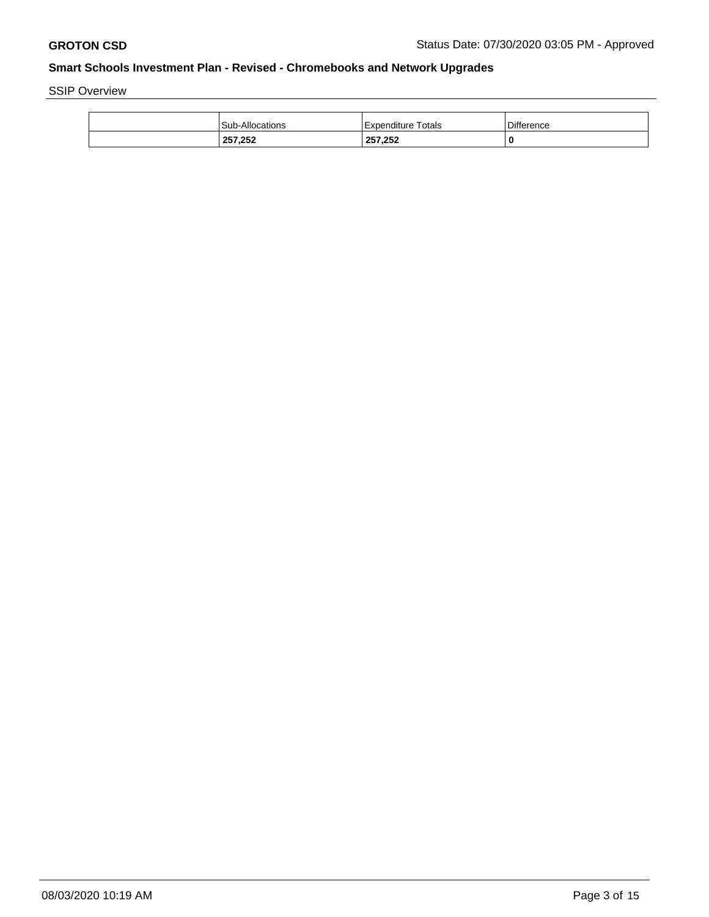SSIP Overview

| <b>Sub-Allocations</b> | Expenditure Totals | <b>Difference</b> |
|------------------------|--------------------|-------------------|
| 257,252                | 257,252            | 0                 |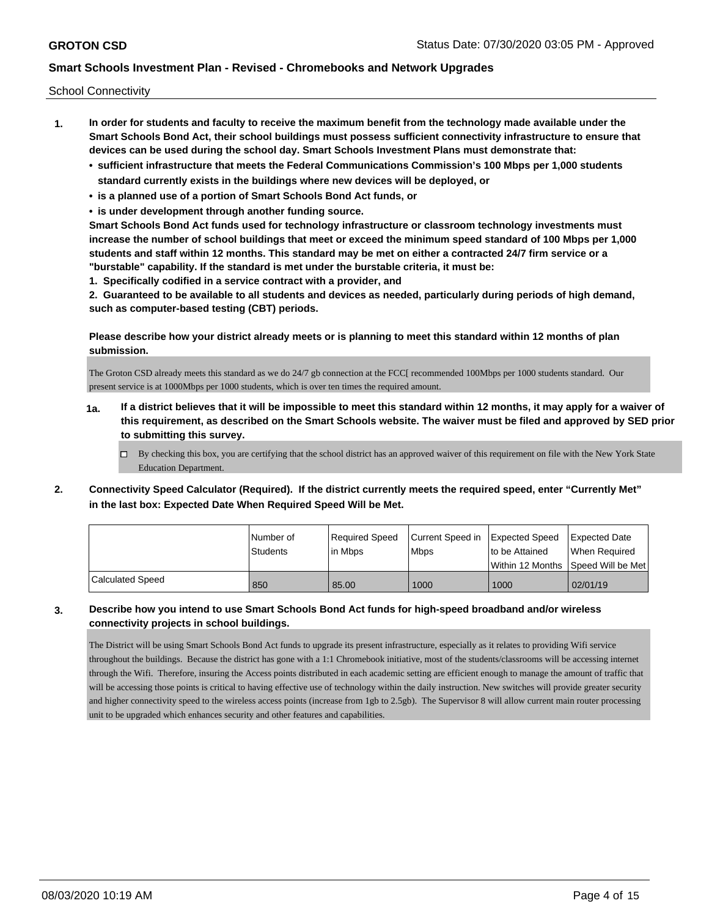School Connectivity

- **1. In order for students and faculty to receive the maximum benefit from the technology made available under the Smart Schools Bond Act, their school buildings must possess sufficient connectivity infrastructure to ensure that devices can be used during the school day. Smart Schools Investment Plans must demonstrate that:**
	- **• sufficient infrastructure that meets the Federal Communications Commission's 100 Mbps per 1,000 students standard currently exists in the buildings where new devices will be deployed, or**
	- **• is a planned use of a portion of Smart Schools Bond Act funds, or**
	- **• is under development through another funding source.**

**Smart Schools Bond Act funds used for technology infrastructure or classroom technology investments must increase the number of school buildings that meet or exceed the minimum speed standard of 100 Mbps per 1,000 students and staff within 12 months. This standard may be met on either a contracted 24/7 firm service or a "burstable" capability. If the standard is met under the burstable criteria, it must be:**

**1. Specifically codified in a service contract with a provider, and**

**2. Guaranteed to be available to all students and devices as needed, particularly during periods of high demand, such as computer-based testing (CBT) periods.**

**Please describe how your district already meets or is planning to meet this standard within 12 months of plan submission.**

The Groton CSD already meets this standard as we do 24/7 gb connection at the FCC[ recommended 100Mbps per 1000 students standard. Our present service is at 1000Mbps per 1000 students, which is over ten times the required amount.

- **1a. If a district believes that it will be impossible to meet this standard within 12 months, it may apply for a waiver of this requirement, as described on the Smart Schools website. The waiver must be filed and approved by SED prior to submitting this survey.**
	- $\Box$  By checking this box, you are certifying that the school district has an approved waiver of this requirement on file with the New York State Education Department.
- **2. Connectivity Speed Calculator (Required). If the district currently meets the required speed, enter "Currently Met" in the last box: Expected Date When Required Speed Will be Met.**

|                  | l Number of<br>Students | Required Speed<br>In Mbps | Current Speed in Expected Speed<br><b>Mbps</b> | Ito be Attained | Expected Date<br>When Required       |
|------------------|-------------------------|---------------------------|------------------------------------------------|-----------------|--------------------------------------|
|                  |                         |                           |                                                |                 | Within 12 Months 1Speed Will be Met1 |
| Calculated Speed | 850                     | 85.00                     | 1000                                           | 1000            | 02/01/19                             |

### **3. Describe how you intend to use Smart Schools Bond Act funds for high-speed broadband and/or wireless connectivity projects in school buildings.**

The District will be using Smart Schools Bond Act funds to upgrade its present infrastructure, especially as it relates to providing Wifi service throughout the buildings. Because the district has gone with a 1:1 Chromebook initiative, most of the students/classrooms will be accessing internet through the Wifi. Therefore, insuring the Access points distributed in each academic setting are efficient enough to manage the amount of traffic that will be accessing those points is critical to having effective use of technology within the daily instruction. New switches will provide greater security and higher connectivity speed to the wireless access points (increase from 1gb to 2.5gb). The Supervisor 8 will allow current main router processing unit to be upgraded which enhances security and other features and capabilities.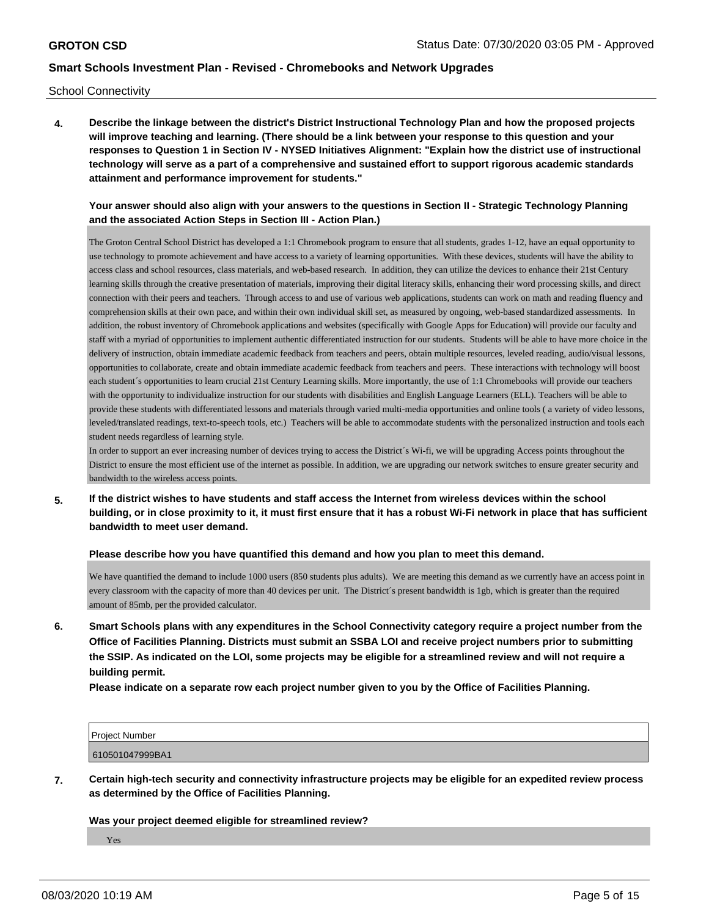School Connectivity

**4. Describe the linkage between the district's District Instructional Technology Plan and how the proposed projects will improve teaching and learning. (There should be a link between your response to this question and your responses to Question 1 in Section IV - NYSED Initiatives Alignment: "Explain how the district use of instructional technology will serve as a part of a comprehensive and sustained effort to support rigorous academic standards attainment and performance improvement for students."** 

### **Your answer should also align with your answers to the questions in Section II - Strategic Technology Planning and the associated Action Steps in Section III - Action Plan.)**

The Groton Central School District has developed a 1:1 Chromebook program to ensure that all students, grades 1-12, have an equal opportunity to use technology to promote achievement and have access to a variety of learning opportunities. With these devices, students will have the ability to access class and school resources, class materials, and web-based research. In addition, they can utilize the devices to enhance their 21st Century learning skills through the creative presentation of materials, improving their digital literacy skills, enhancing their word processing skills, and direct connection with their peers and teachers. Through access to and use of various web applications, students can work on math and reading fluency and comprehension skills at their own pace, and within their own individual skill set, as measured by ongoing, web-based standardized assessments. In addition, the robust inventory of Chromebook applications and websites (specifically with Google Apps for Education) will provide our faculty and staff with a myriad of opportunities to implement authentic differentiated instruction for our students. Students will be able to have more choice in the delivery of instruction, obtain immediate academic feedback from teachers and peers, obtain multiple resources, leveled reading, audio/visual lessons, opportunities to collaborate, create and obtain immediate academic feedback from teachers and peers. These interactions with technology will boost each student´s opportunities to learn crucial 21st Century Learning skills. More importantly, the use of 1:1 Chromebooks will provide our teachers with the opportunity to individualize instruction for our students with disabilities and English Language Learners (ELL). Teachers will be able to provide these students with differentiated lessons and materials through varied multi-media opportunities and online tools ( a variety of video lessons, leveled/translated readings, text-to-speech tools, etc.) Teachers will be able to accommodate students with the personalized instruction and tools each student needs regardless of learning style.

In order to support an ever increasing number of devices trying to access the District´s Wi-fi, we will be upgrading Access points throughout the District to ensure the most efficient use of the internet as possible. In addition, we are upgrading our network switches to ensure greater security and bandwidth to the wireless access points.

**5. If the district wishes to have students and staff access the Internet from wireless devices within the school building, or in close proximity to it, it must first ensure that it has a robust Wi-Fi network in place that has sufficient bandwidth to meet user demand.**

#### **Please describe how you have quantified this demand and how you plan to meet this demand.**

We have quantified the demand to include 1000 users (850 students plus adults). We are meeting this demand as we currently have an access point in every classroom with the capacity of more than 40 devices per unit. The District's present bandwidth is 1gb, which is greater than the required amount of 85mb, per the provided calculator.

**6. Smart Schools plans with any expenditures in the School Connectivity category require a project number from the Office of Facilities Planning. Districts must submit an SSBA LOI and receive project numbers prior to submitting the SSIP. As indicated on the LOI, some projects may be eligible for a streamlined review and will not require a building permit.**

**Please indicate on a separate row each project number given to you by the Office of Facilities Planning.**

| Project Number  |  |
|-----------------|--|
| 610501047999BA1 |  |

**7. Certain high-tech security and connectivity infrastructure projects may be eligible for an expedited review process as determined by the Office of Facilities Planning.**

### **Was your project deemed eligible for streamlined review?**

Yes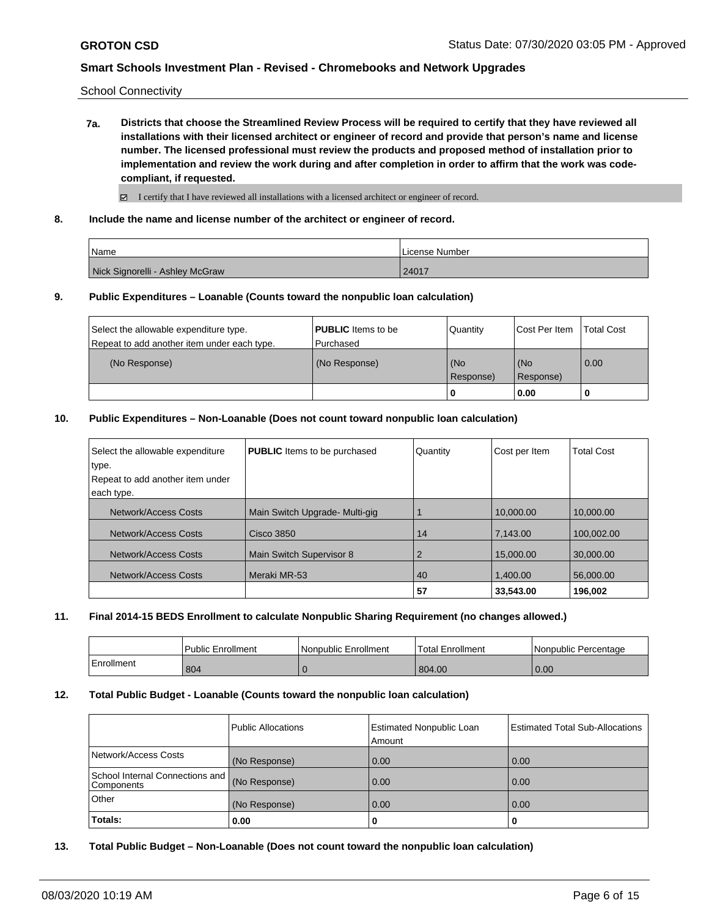School Connectivity

**7a. Districts that choose the Streamlined Review Process will be required to certify that they have reviewed all installations with their licensed architect or engineer of record and provide that person's name and license number. The licensed professional must review the products and proposed method of installation prior to implementation and review the work during and after completion in order to affirm that the work was codecompliant, if requested.**

 $\boxtimes$  I certify that I have reviewed all installations with a licensed architect or engineer of record.

**8. Include the name and license number of the architect or engineer of record.**

| Name                            | License Number |
|---------------------------------|----------------|
| Nick Signorelli - Ashley McGraw | 24017          |

#### **9. Public Expenditures – Loanable (Counts toward the nonpublic loan calculation)**

|                                             |                           | 0               | 0.00          |                   |
|---------------------------------------------|---------------------------|-----------------|---------------|-------------------|
|                                             |                           | Response)       | Response)     |                   |
| (No Response)                               | (No Response)             | (No             | l (No         | 0.00              |
| Repeat to add another item under each type. | l Purchased               |                 |               |                   |
| Select the allowable expenditure type.      | <b>PUBLIC</b> Items to be | <b>Quantity</b> | Cost Per Item | <b>Total Cost</b> |

### **10. Public Expenditures – Non-Loanable (Does not count toward nonpublic loan calculation)**

| Select the allowable expenditure<br>type.<br>Repeat to add another item under<br>each type. | <b>PUBLIC</b> Items to be purchased | Quantity | Cost per Item | <b>Total Cost</b> |
|---------------------------------------------------------------------------------------------|-------------------------------------|----------|---------------|-------------------|
| Network/Access Costs                                                                        | Main Switch Upgrade-Multi-gig       |          | 10,000.00     | 10,000.00         |
| Network/Access Costs                                                                        | <b>Cisco 3850</b>                   | 14       | 7.143.00      | 100,002.00        |
| Network/Access Costs                                                                        | Main Switch Supervisor 8            | 2        | 15,000.00     | 30,000.00         |
| Network/Access Costs                                                                        | Meraki MR-53                        | 40       | 1.400.00      | 56.000.00         |
|                                                                                             |                                     | 57       | 33,543.00     | 196,002           |

### **11. Final 2014-15 BEDS Enrollment to calculate Nonpublic Sharing Requirement (no changes allowed.)**

|            | Public Enrollment | Nonpublic Enrollment | Total Enrollment | l Nonpublic Percentage |
|------------|-------------------|----------------------|------------------|------------------------|
| Enrollment | 804               |                      | 804.00           | 0.00                   |

### **12. Total Public Budget - Loanable (Counts toward the nonpublic loan calculation)**

|                                                 | <b>Public Allocations</b> | Estimated Nonpublic Loan<br>Amount | <b>Estimated Total Sub-Allocations</b> |
|-------------------------------------------------|---------------------------|------------------------------------|----------------------------------------|
| Network/Access Costs                            | (No Response)             | 0.00                               | 0.00                                   |
| School Internal Connections and  <br>Components | (No Response)             | 0.00                               | 0.00                                   |
| Other                                           | (No Response)             | 0.00                               | 0.00                                   |
| Totals:                                         | 0.00                      | o                                  | 0                                      |

#### **13. Total Public Budget – Non-Loanable (Does not count toward the nonpublic loan calculation)**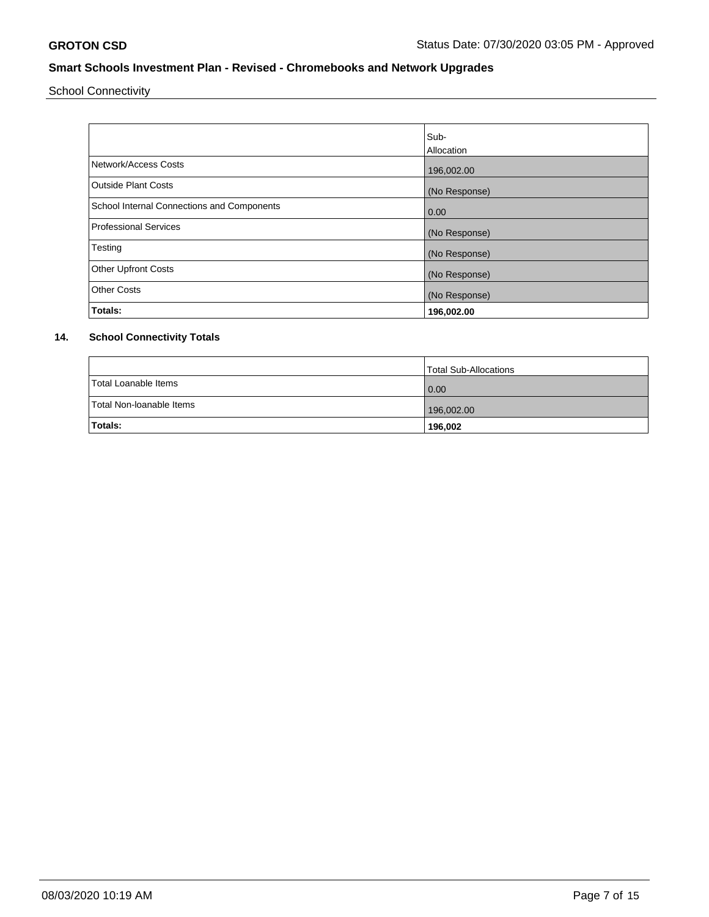School Connectivity

|                                            | Sub-<br>Allocation |
|--------------------------------------------|--------------------|
| Network/Access Costs                       | 196,002.00         |
| <b>Outside Plant Costs</b>                 | (No Response)      |
| School Internal Connections and Components | 0.00               |
| <b>Professional Services</b>               | (No Response)      |
| Testing                                    | (No Response)      |
| <b>Other Upfront Costs</b>                 | (No Response)      |
| <b>Other Costs</b>                         | (No Response)      |
| Totals:                                    | 196,002.00         |

# **14. School Connectivity Totals**

|                          | Total Sub-Allocations |
|--------------------------|-----------------------|
| Total Loanable Items     | 0.00                  |
| Total Non-Ioanable Items | 196,002.00            |
| <b>Totals:</b>           | 196,002               |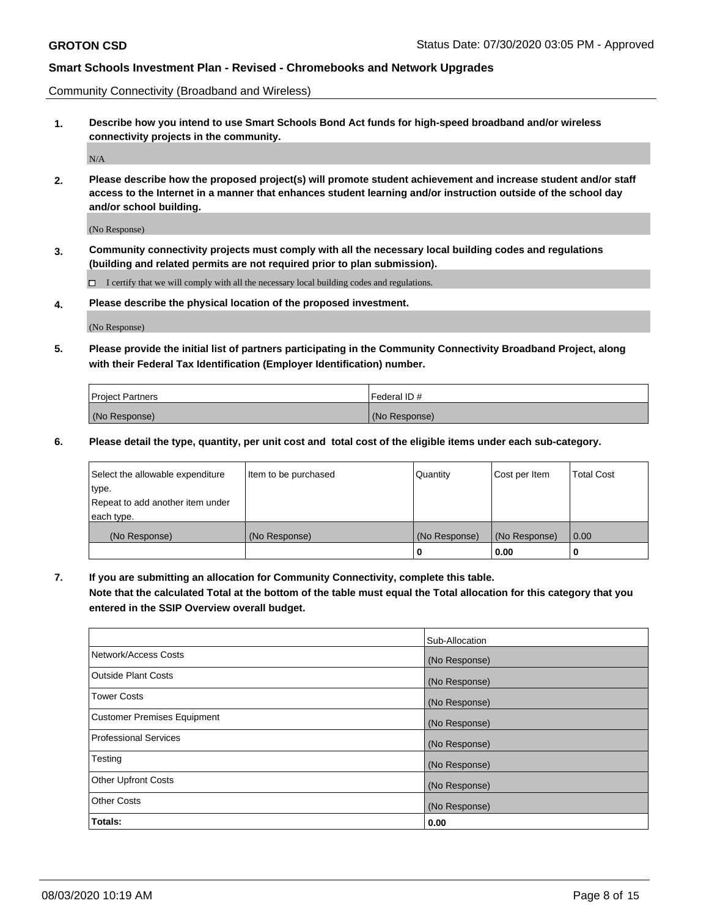Community Connectivity (Broadband and Wireless)

**1. Describe how you intend to use Smart Schools Bond Act funds for high-speed broadband and/or wireless connectivity projects in the community.**

 $\rm N/A$ 

**2. Please describe how the proposed project(s) will promote student achievement and increase student and/or staff access to the Internet in a manner that enhances student learning and/or instruction outside of the school day and/or school building.**

(No Response)

**3. Community connectivity projects must comply with all the necessary local building codes and regulations (building and related permits are not required prior to plan submission).**

 $\Box$  I certify that we will comply with all the necessary local building codes and regulations.

**4. Please describe the physical location of the proposed investment.**

(No Response)

**5. Please provide the initial list of partners participating in the Community Connectivity Broadband Project, along with their Federal Tax Identification (Employer Identification) number.**

| <b>Project Partners</b> | l Federal ID # |
|-------------------------|----------------|
| (No Response)           | (No Response)  |

**6. Please detail the type, quantity, per unit cost and total cost of the eligible items under each sub-category.**

| Select the allowable expenditure | Item to be purchased | Quantity      | Cost per Item | <b>Total Cost</b> |
|----------------------------------|----------------------|---------------|---------------|-------------------|
| type.                            |                      |               |               |                   |
| Repeat to add another item under |                      |               |               |                   |
| each type.                       |                      |               |               |                   |
| (No Response)                    | (No Response)        | (No Response) | (No Response) | 0.00              |
|                                  |                      | o             | 0.00          |                   |

**7. If you are submitting an allocation for Community Connectivity, complete this table.**

**Note that the calculated Total at the bottom of the table must equal the Total allocation for this category that you entered in the SSIP Overview overall budget.**

|                                    | Sub-Allocation |
|------------------------------------|----------------|
| Network/Access Costs               | (No Response)  |
| Outside Plant Costs                | (No Response)  |
| <b>Tower Costs</b>                 | (No Response)  |
| <b>Customer Premises Equipment</b> | (No Response)  |
| <b>Professional Services</b>       | (No Response)  |
| Testing                            | (No Response)  |
| <b>Other Upfront Costs</b>         | (No Response)  |
| <b>Other Costs</b>                 | (No Response)  |
| Totals:                            | 0.00           |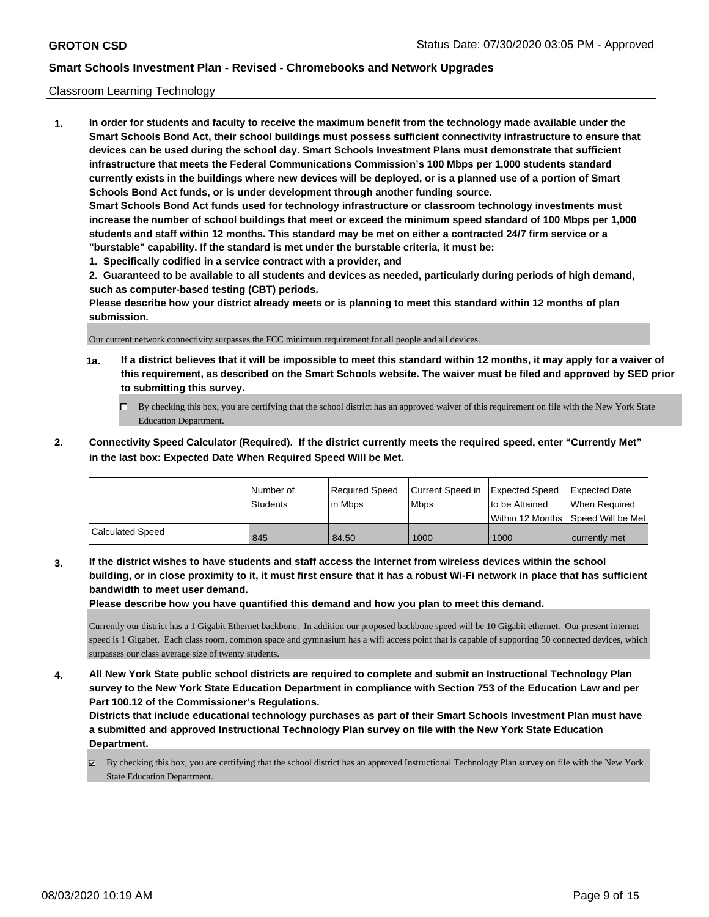### Classroom Learning Technology

**1. In order for students and faculty to receive the maximum benefit from the technology made available under the Smart Schools Bond Act, their school buildings must possess sufficient connectivity infrastructure to ensure that devices can be used during the school day. Smart Schools Investment Plans must demonstrate that sufficient infrastructure that meets the Federal Communications Commission's 100 Mbps per 1,000 students standard currently exists in the buildings where new devices will be deployed, or is a planned use of a portion of Smart Schools Bond Act funds, or is under development through another funding source. Smart Schools Bond Act funds used for technology infrastructure or classroom technology investments must increase the number of school buildings that meet or exceed the minimum speed standard of 100 Mbps per 1,000 students and staff within 12 months. This standard may be met on either a contracted 24/7 firm service or a "burstable" capability. If the standard is met under the burstable criteria, it must be:**

**1. Specifically codified in a service contract with a provider, and**

**2. Guaranteed to be available to all students and devices as needed, particularly during periods of high demand, such as computer-based testing (CBT) periods.**

**Please describe how your district already meets or is planning to meet this standard within 12 months of plan submission.**

Our current network connectivity surpasses the FCC minimum requirement for all people and all devices.

- **1a. If a district believes that it will be impossible to meet this standard within 12 months, it may apply for a waiver of this requirement, as described on the Smart Schools website. The waiver must be filed and approved by SED prior to submitting this survey.**
	- By checking this box, you are certifying that the school district has an approved waiver of this requirement on file with the New York State Education Department.
- **2. Connectivity Speed Calculator (Required). If the district currently meets the required speed, enter "Currently Met" in the last box: Expected Date When Required Speed Will be Met.**

|                  | l Number of     | Required Speed | Current Speed in Expected Speed |                | Expected Date                        |
|------------------|-----------------|----------------|---------------------------------|----------------|--------------------------------------|
|                  | <b>Students</b> | l in Mbps      | <b>Mbps</b>                     | to be Attained | When Required                        |
|                  |                 |                |                                 |                | Within 12 Months 1Speed Will be Met1 |
| Calculated Speed | 845             | 84.50          | 1000                            | 1000           | currently met                        |

**3. If the district wishes to have students and staff access the Internet from wireless devices within the school building, or in close proximity to it, it must first ensure that it has a robust Wi-Fi network in place that has sufficient bandwidth to meet user demand.**

**Please describe how you have quantified this demand and how you plan to meet this demand.**

Currently our district has a 1 Gigabit Ethernet backbone. In addition our proposed backbone speed will be 10 Gigabit ethernet. Our present internet speed is 1 Gigabet. Each class room, common space and gymnasium has a wifi access point that is capable of supporting 50 connected devices, which surpasses our class average size of twenty students.

**4. All New York State public school districts are required to complete and submit an Instructional Technology Plan survey to the New York State Education Department in compliance with Section 753 of the Education Law and per Part 100.12 of the Commissioner's Regulations.**

**Districts that include educational technology purchases as part of their Smart Schools Investment Plan must have a submitted and approved Instructional Technology Plan survey on file with the New York State Education Department.**

By checking this box, you are certifying that the school district has an approved Instructional Technology Plan survey on file with the New York State Education Department.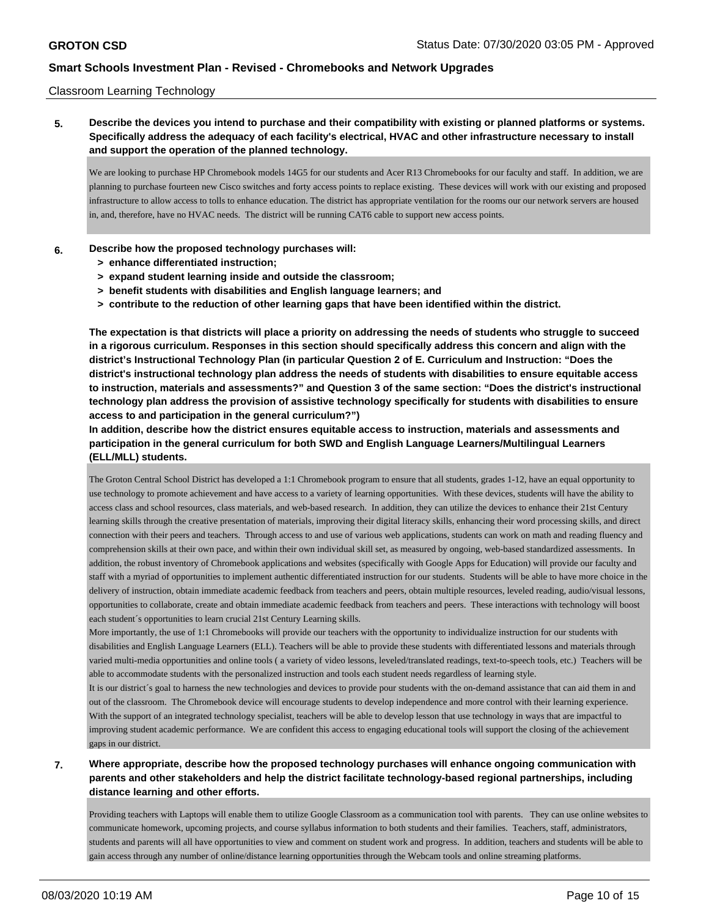#### Classroom Learning Technology

**5. Describe the devices you intend to purchase and their compatibility with existing or planned platforms or systems. Specifically address the adequacy of each facility's electrical, HVAC and other infrastructure necessary to install and support the operation of the planned technology.**

We are looking to purchase HP Chromebook models 14G5 for our students and Acer R13 Chromebooks for our faculty and staff. In addition, we are planning to purchase fourteen new Cisco switches and forty access points to replace existing. These devices will work with our existing and proposed infrastructure to allow access to tolls to enhance education. The district has appropriate ventilation for the rooms our our network servers are housed in, and, therefore, have no HVAC needs. The district will be running CAT6 cable to support new access points.

#### **6. Describe how the proposed technology purchases will:**

- **> enhance differentiated instruction;**
- **> expand student learning inside and outside the classroom;**
- **> benefit students with disabilities and English language learners; and**
- **> contribute to the reduction of other learning gaps that have been identified within the district.**

**The expectation is that districts will place a priority on addressing the needs of students who struggle to succeed in a rigorous curriculum. Responses in this section should specifically address this concern and align with the district's Instructional Technology Plan (in particular Question 2 of E. Curriculum and Instruction: "Does the district's instructional technology plan address the needs of students with disabilities to ensure equitable access to instruction, materials and assessments?" and Question 3 of the same section: "Does the district's instructional technology plan address the provision of assistive technology specifically for students with disabilities to ensure access to and participation in the general curriculum?")**

**In addition, describe how the district ensures equitable access to instruction, materials and assessments and participation in the general curriculum for both SWD and English Language Learners/Multilingual Learners (ELL/MLL) students.**

The Groton Central School District has developed a 1:1 Chromebook program to ensure that all students, grades 1-12, have an equal opportunity to use technology to promote achievement and have access to a variety of learning opportunities. With these devices, students will have the ability to access class and school resources, class materials, and web-based research. In addition, they can utilize the devices to enhance their 21st Century learning skills through the creative presentation of materials, improving their digital literacy skills, enhancing their word processing skills, and direct connection with their peers and teachers. Through access to and use of various web applications, students can work on math and reading fluency and comprehension skills at their own pace, and within their own individual skill set, as measured by ongoing, web-based standardized assessments. In addition, the robust inventory of Chromebook applications and websites (specifically with Google Apps for Education) will provide our faculty and staff with a myriad of opportunities to implement authentic differentiated instruction for our students. Students will be able to have more choice in the delivery of instruction, obtain immediate academic feedback from teachers and peers, obtain multiple resources, leveled reading, audio/visual lessons, opportunities to collaborate, create and obtain immediate academic feedback from teachers and peers. These interactions with technology will boost each student´s opportunities to learn crucial 21st Century Learning skills.

More importantly, the use of 1:1 Chromebooks will provide our teachers with the opportunity to individualize instruction for our students with disabilities and English Language Learners (ELL). Teachers will be able to provide these students with differentiated lessons and materials through varied multi-media opportunities and online tools ( a variety of video lessons, leveled/translated readings, text-to-speech tools, etc.) Teachers will be able to accommodate students with the personalized instruction and tools each student needs regardless of learning style.

It is our district´s goal to harness the new technologies and devices to provide pour students with the on-demand assistance that can aid them in and out of the classroom. The Chromebook device will encourage students to develop independence and more control with their learning experience. With the support of an integrated technology specialist, teachers will be able to develop lesson that use technology in ways that are impactful to improving student academic performance. We are confident this access to engaging educational tools will support the closing of the achievement gaps in our district.

## **7. Where appropriate, describe how the proposed technology purchases will enhance ongoing communication with parents and other stakeholders and help the district facilitate technology-based regional partnerships, including distance learning and other efforts.**

Providing teachers with Laptops will enable them to utilize Google Classroom as a communication tool with parents. They can use online websites to communicate homework, upcoming projects, and course syllabus information to both students and their families. Teachers, staff, administrators, students and parents will all have opportunities to view and comment on student work and progress. In addition, teachers and students will be able to gain access through any number of online/distance learning opportunities through the Webcam tools and online streaming platforms.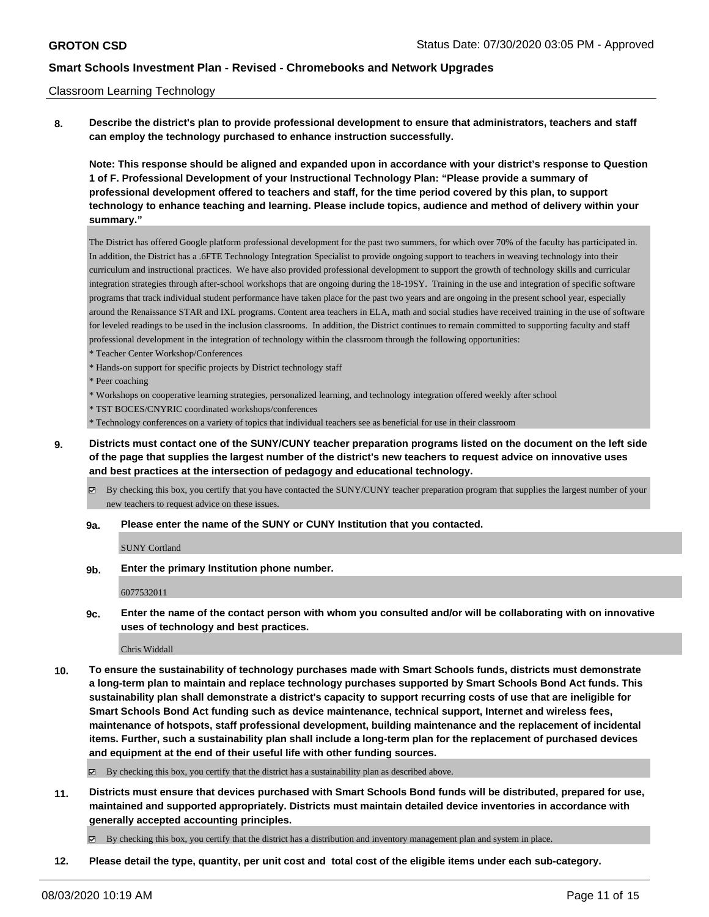#### Classroom Learning Technology

**8. Describe the district's plan to provide professional development to ensure that administrators, teachers and staff can employ the technology purchased to enhance instruction successfully.**

**Note: This response should be aligned and expanded upon in accordance with your district's response to Question 1 of F. Professional Development of your Instructional Technology Plan: "Please provide a summary of professional development offered to teachers and staff, for the time period covered by this plan, to support technology to enhance teaching and learning. Please include topics, audience and method of delivery within your summary."**

The District has offered Google platform professional development for the past two summers, for which over 70% of the faculty has participated in. In addition, the District has a .6FTE Technology Integration Specialist to provide ongoing support to teachers in weaving technology into their curriculum and instructional practices. We have also provided professional development to support the growth of technology skills and curricular integration strategies through after-school workshops that are ongoing during the 18-19SY. Training in the use and integration of specific software programs that track individual student performance have taken place for the past two years and are ongoing in the present school year, especially around the Renaissance STAR and IXL programs. Content area teachers in ELA, math and social studies have received training in the use of software for leveled readings to be used in the inclusion classrooms. In addition, the District continues to remain committed to supporting faculty and staff professional development in the integration of technology within the classroom through the following opportunities:

- \* Teacher Center Workshop/Conferences
- \* Hands-on support for specific projects by District technology staff
- \* Peer coaching
- \* Workshops on cooperative learning strategies, personalized learning, and technology integration offered weekly after school
- \* TST BOCES/CNYRIC coordinated workshops/conferences

\* Technology conferences on a variety of topics that individual teachers see as beneficial for use in their classroom

**9. Districts must contact one of the SUNY/CUNY teacher preparation programs listed on the document on the left side of the page that supplies the largest number of the district's new teachers to request advice on innovative uses and best practices at the intersection of pedagogy and educational technology.**

By checking this box, you certify that you have contacted the SUNY/CUNY teacher preparation program that supplies the largest number of your new teachers to request advice on these issues.

#### **9a. Please enter the name of the SUNY or CUNY Institution that you contacted.**

SUNY Cortland

**9b. Enter the primary Institution phone number.**

6077532011

**9c. Enter the name of the contact person with whom you consulted and/or will be collaborating with on innovative uses of technology and best practices.**

Chris Widdall

**10. To ensure the sustainability of technology purchases made with Smart Schools funds, districts must demonstrate a long-term plan to maintain and replace technology purchases supported by Smart Schools Bond Act funds. This sustainability plan shall demonstrate a district's capacity to support recurring costs of use that are ineligible for Smart Schools Bond Act funding such as device maintenance, technical support, Internet and wireless fees, maintenance of hotspots, staff professional development, building maintenance and the replacement of incidental items. Further, such a sustainability plan shall include a long-term plan for the replacement of purchased devices and equipment at the end of their useful life with other funding sources.**

 $\boxtimes$  By checking this box, you certify that the district has a sustainability plan as described above.

**11. Districts must ensure that devices purchased with Smart Schools Bond funds will be distributed, prepared for use, maintained and supported appropriately. Districts must maintain detailed device inventories in accordance with generally accepted accounting principles.**

By checking this box, you certify that the district has a distribution and inventory management plan and system in place.

**12. Please detail the type, quantity, per unit cost and total cost of the eligible items under each sub-category.**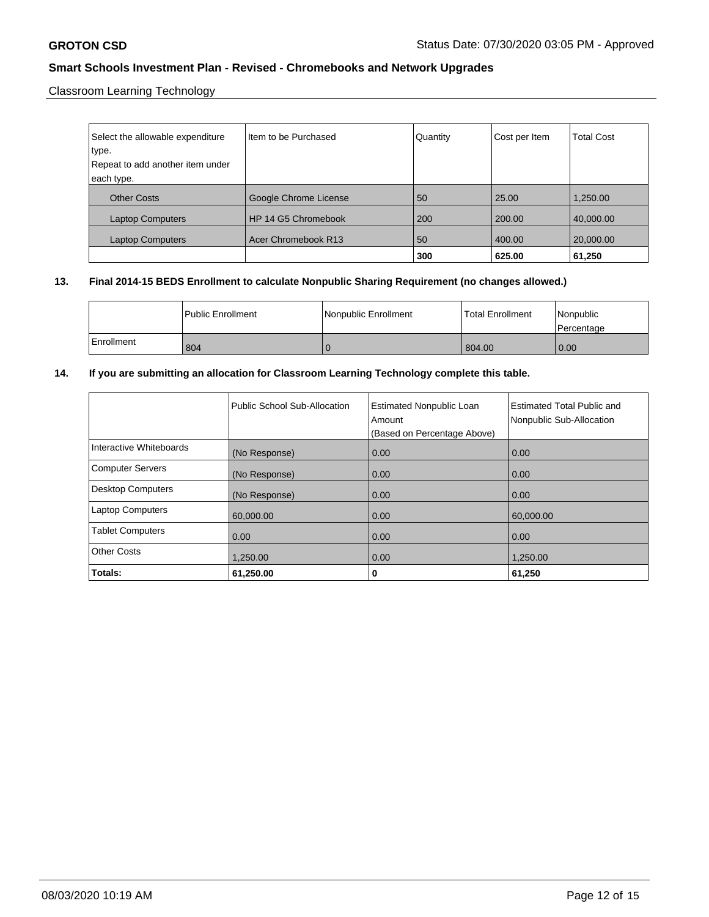Classroom Learning Technology

| Select the allowable expenditure<br>type.<br>Repeat to add another item under<br>each type. | Item to be Purchased  | Quantity | Cost per Item | <b>Total Cost</b> |
|---------------------------------------------------------------------------------------------|-----------------------|----------|---------------|-------------------|
| <b>Other Costs</b>                                                                          | Google Chrome License | 50       | 25.00         | 1,250.00          |
| <b>Laptop Computers</b>                                                                     | HP 14 G5 Chromebook   | 200      | 200.00        | 40,000.00         |
| <b>Laptop Computers</b>                                                                     | Acer Chromebook R13   | 50       | 400.00        | 20,000.00         |
|                                                                                             |                       | 300      | 625.00        | 61,250            |

## **13. Final 2014-15 BEDS Enrollment to calculate Nonpublic Sharing Requirement (no changes allowed.)**

|              | l Public Enrollment | Nonpublic Enrollment | <b>Total Enrollment</b> | Nonpublic<br>Percentage |
|--------------|---------------------|----------------------|-------------------------|-------------------------|
| l Enrollment | 804                 |                      | 804.00                  | 0.00                    |

## **14. If you are submitting an allocation for Classroom Learning Technology complete this table.**

|                          | Public School Sub-Allocation | <b>Estimated Nonpublic Loan</b><br>Amount<br>(Based on Percentage Above) | Estimated Total Public and<br>Nonpublic Sub-Allocation |
|--------------------------|------------------------------|--------------------------------------------------------------------------|--------------------------------------------------------|
| Interactive Whiteboards  | (No Response)                | 0.00                                                                     | 0.00                                                   |
| <b>Computer Servers</b>  | (No Response)                | 0.00                                                                     | 0.00                                                   |
| <b>Desktop Computers</b> | (No Response)                | 0.00                                                                     | 0.00                                                   |
| <b>Laptop Computers</b>  | 60,000.00                    | 0.00                                                                     | 60,000.00                                              |
| <b>Tablet Computers</b>  | 0.00                         | 0.00                                                                     | 0.00                                                   |
| <b>Other Costs</b>       | 1.250.00                     | 0.00                                                                     | 1,250.00                                               |
| Totals:                  | 61,250.00                    | 0                                                                        | 61,250                                                 |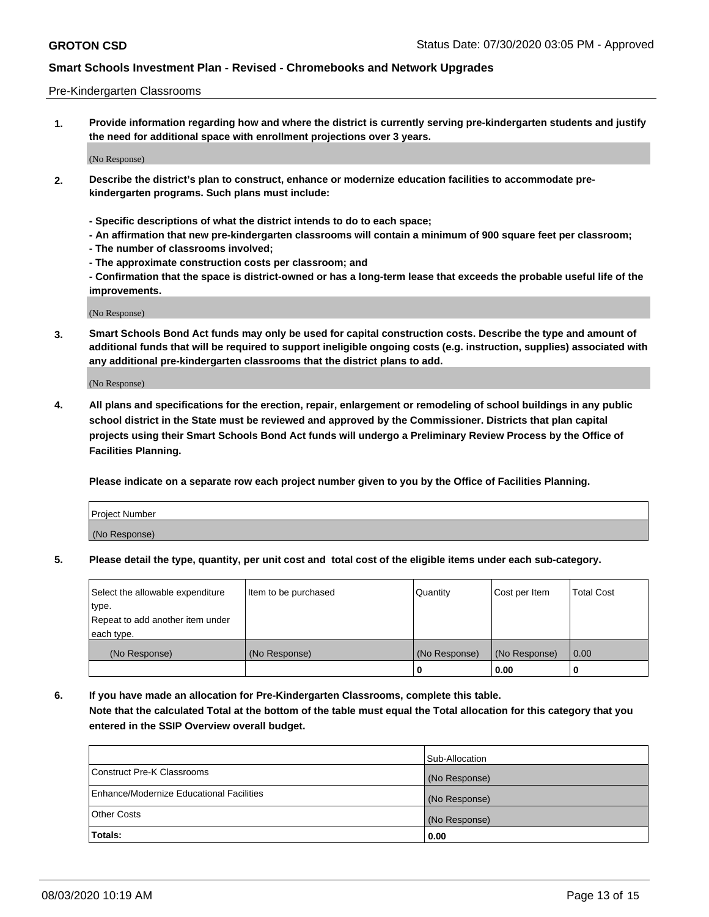#### Pre-Kindergarten Classrooms

**1. Provide information regarding how and where the district is currently serving pre-kindergarten students and justify the need for additional space with enrollment projections over 3 years.**

(No Response)

- **2. Describe the district's plan to construct, enhance or modernize education facilities to accommodate prekindergarten programs. Such plans must include:**
	- **Specific descriptions of what the district intends to do to each space;**
	- **An affirmation that new pre-kindergarten classrooms will contain a minimum of 900 square feet per classroom;**
	- **The number of classrooms involved;**
	- **The approximate construction costs per classroom; and**
	- **Confirmation that the space is district-owned or has a long-term lease that exceeds the probable useful life of the improvements.**

(No Response)

**3. Smart Schools Bond Act funds may only be used for capital construction costs. Describe the type and amount of additional funds that will be required to support ineligible ongoing costs (e.g. instruction, supplies) associated with any additional pre-kindergarten classrooms that the district plans to add.**

(No Response)

**4. All plans and specifications for the erection, repair, enlargement or remodeling of school buildings in any public school district in the State must be reviewed and approved by the Commissioner. Districts that plan capital projects using their Smart Schools Bond Act funds will undergo a Preliminary Review Process by the Office of Facilities Planning.**

**Please indicate on a separate row each project number given to you by the Office of Facilities Planning.**

| Project Number |  |
|----------------|--|
| (No Response)  |  |
|                |  |

**5. Please detail the type, quantity, per unit cost and total cost of the eligible items under each sub-category.**

| Select the allowable expenditure | Item to be purchased | Quantity      | Cost per Item | <b>Total Cost</b> |
|----------------------------------|----------------------|---------------|---------------|-------------------|
| type.                            |                      |               |               |                   |
| Repeat to add another item under |                      |               |               |                   |
| each type.                       |                      |               |               |                   |
| (No Response)                    | (No Response)        | (No Response) | (No Response) | 0.00              |
|                                  |                      | υ             | 0.00          |                   |

**6. If you have made an allocation for Pre-Kindergarten Classrooms, complete this table. Note that the calculated Total at the bottom of the table must equal the Total allocation for this category that you entered in the SSIP Overview overall budget.**

|                                          | Sub-Allocation |
|------------------------------------------|----------------|
| Construct Pre-K Classrooms               | (No Response)  |
| Enhance/Modernize Educational Facilities | (No Response)  |
| <b>Other Costs</b>                       | (No Response)  |
| Totals:                                  | 0.00           |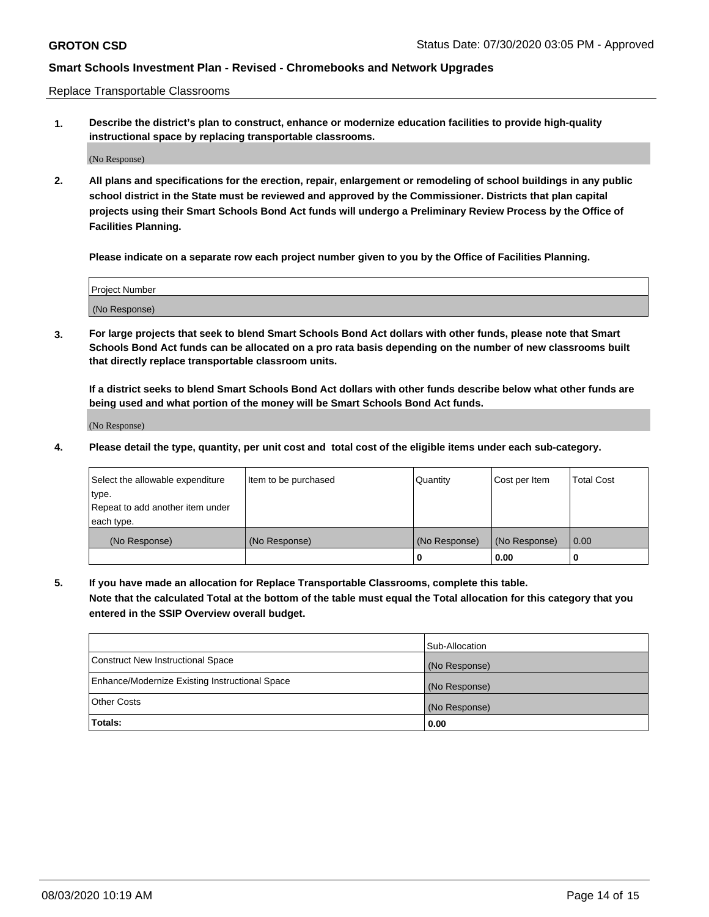Replace Transportable Classrooms

**1. Describe the district's plan to construct, enhance or modernize education facilities to provide high-quality instructional space by replacing transportable classrooms.**

(No Response)

**2. All plans and specifications for the erection, repair, enlargement or remodeling of school buildings in any public school district in the State must be reviewed and approved by the Commissioner. Districts that plan capital projects using their Smart Schools Bond Act funds will undergo a Preliminary Review Process by the Office of Facilities Planning.**

**Please indicate on a separate row each project number given to you by the Office of Facilities Planning.**

| Project Number |  |
|----------------|--|
|                |  |
|                |  |
|                |  |
| (No Response)  |  |
|                |  |
|                |  |

**3. For large projects that seek to blend Smart Schools Bond Act dollars with other funds, please note that Smart Schools Bond Act funds can be allocated on a pro rata basis depending on the number of new classrooms built that directly replace transportable classroom units.**

**If a district seeks to blend Smart Schools Bond Act dollars with other funds describe below what other funds are being used and what portion of the money will be Smart Schools Bond Act funds.**

(No Response)

**4. Please detail the type, quantity, per unit cost and total cost of the eligible items under each sub-category.**

| Select the allowable expenditure | Item to be purchased | Quantity      | Cost per Item | Total Cost |
|----------------------------------|----------------------|---------------|---------------|------------|
| ∣type.                           |                      |               |               |            |
| Repeat to add another item under |                      |               |               |            |
| each type.                       |                      |               |               |            |
| (No Response)                    | (No Response)        | (No Response) | (No Response) | 0.00       |
|                                  |                      | u             | 0.00          |            |

**5. If you have made an allocation for Replace Transportable Classrooms, complete this table. Note that the calculated Total at the bottom of the table must equal the Total allocation for this category that you entered in the SSIP Overview overall budget.**

|                                                | Sub-Allocation |
|------------------------------------------------|----------------|
| Construct New Instructional Space              | (No Response)  |
| Enhance/Modernize Existing Instructional Space | (No Response)  |
| Other Costs                                    | (No Response)  |
| Totals:                                        | 0.00           |